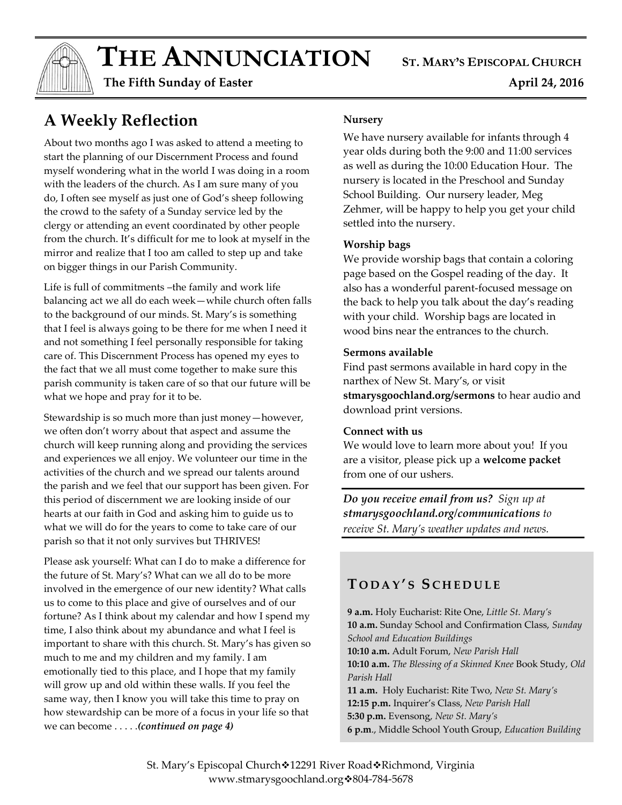$THE$  **ANNUNCIATION** ST. MARY'S EPISCOPAL CHURCH

 **The Fifth Sunday of Easter April 24, 2016** 

# **A Weekly Reflection**

About two months ago I was asked to attend a meeting to start the planning of our Discernment Process and found myself wondering what in the world I was doing in a room with the leaders of the church. As I am sure many of you do, I often see myself as just one of God's sheep following the crowd to the safety of a Sunday service led by the clergy or attending an event coordinated by other people from the church. It's difficult for me to look at myself in the mirror and realize that I too am called to step up and take on bigger things in our Parish Community.

Life is full of commitments -the family and work life balancing act we all do each week—while church often falls to the background of our minds. St. Mary's is something that I feel is always going to be there for me when I need it and not something I feel personally responsible for taking care of. This Discernment Process has opened my eyes to the fact that we all must come together to make sure this parish community is taken care of so that our future will be what we hope and pray for it to be.

Stewardship is so much more than just money—however, we often don't worry about that aspect and assume the church will keep running along and providing the services and experiences we all enjoy. We volunteer our time in the activities of the church and we spread our talents around the parish and we feel that our support has been given. For this period of discernment we are looking inside of our hearts at our faith in God and asking him to guide us to what we will do for the years to come to take care of our parish so that it not only survives but THRIVES!

Please ask yourself: What can I do to make a difference for the future of St. Mary's? What can we all do to be more involved in the emergence of our new identity? What calls us to come to this place and give of ourselves and of our fortune? As I think about my calendar and how I spend my time, I also think about my abundance and what I feel is important to share with this church. St. Mary's has given so much to me and my children and my family. I am emotionally tied to this place, and I hope that my family will grow up and old within these walls. If you feel the same way, then I know you will take this time to pray on how stewardship can be more of a focus in your life so that we can become . . . . .*(continued on page 4)*

#### **Nursery**

We have nursery available for infants through 4 year olds during both the 9:00 and 11:00 services as well as during the 10:00 Education Hour. The nursery is located in the Preschool and Sunday School Building. Our nursery leader, Meg Zehmer, will be happy to help you get your child settled into the nursery.

#### **Worship bags**

We provide worship bags that contain a coloring page based on the Gospel reading of the day. It also has a wonderful parent-focused message on the back to help you talk about the day's reading with your child. Worship bags are located in wood bins near the entrances to the church.

#### **Sermons available**

Find past sermons available in hard copy in the narthex of New St. Mary's, or visit **stmarysgoochland.org/sermons** to hear audio and download print versions.

#### **Connect with us**

We would love to learn more about you! If you are a visitor, please pick up a **welcome packet** from one of our ushers.

*Do you receive email from us? Sign up at stmarysgoochland.org/communications to receive St. Mary's weather updates and news.*

## **T O D A Y ' S S C H E D U L E**

**9 a.m.** Holy Eucharist: Rite One, *Little St. Mary's* **10 a.m.** Sunday School and Confirmation Class, *Sunday School and Education Buildings* **10:10 a.m.** Adult Forum, *New Parish Hall* **10:10 a.m.** *The Blessing of a Skinned Knee* Book Study, *Old Parish Hall* **11 a.m.** Holy Eucharist: Rite Two, *New St. Mary's* **12:15 p.m.** Inquirer's Class, *New Parish Hall* **5:30 p.m.** Evensong, *New St. Mary's* **6 p.m**., Middle School Youth Group, *Education Building*

St. Mary's Episcopal Church<sup>:</sup>12291 River Road<sup>:</sup>Richmond, Virginia www.stmarysgoochland.org \$804-784-5678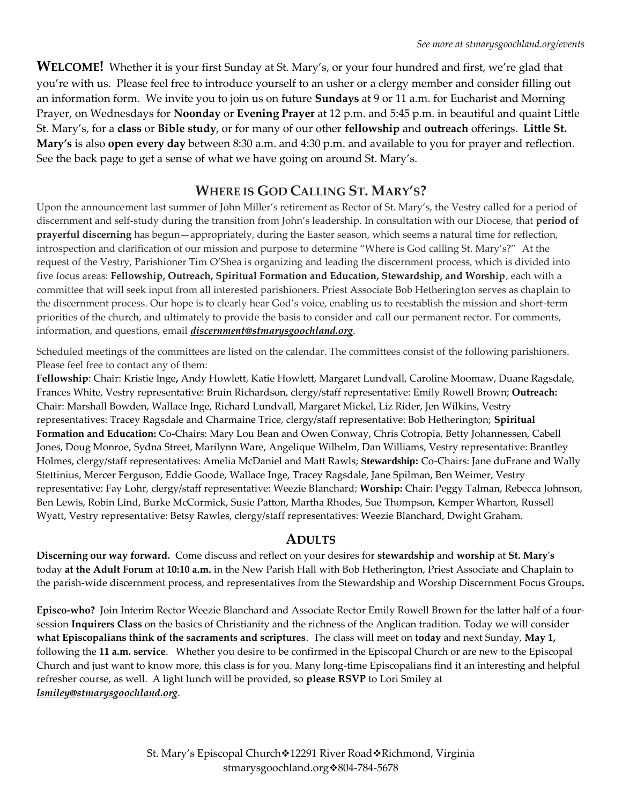**WELCOME!** Whether it is your first Sunday at St. Mary's, or your four hundred and first, we're glad that you're with us. Please feel free to introduce yourself to an usher or a clergy member and consider filling out an information form. We invite you to join us on future **Sundays** at 9 or 11 a.m. for Eucharist and Morning Prayer, on Wednesdays for **Noonday** or **Evening Prayer** at 12 p.m. and 5:45 p.m. in beautiful and quaint Little St. Mary's, for a **class** or **Bible study**, or for many of our other **fellowship** and **outreach** offerings. **Little St. Mary's** is also **open every day** between 8:30 a.m. and 4:30 p.m. and available to you for prayer and reflection. See the back page to get a sense of what we have going on around St. Mary's.

### **WHERE IS GOD CALLING ST. MARY'S?**

Upon the announcement last summer of John Miller's retirement as Rector of St. Mary's, the Vestry called for a period of discernment and self-study during the transition from John's leadership. In consultation with our Diocese, that **period of prayerful discerning** has begun—appropriately, during the Easter season, which seems a natural time for reflection, introspection and clarification of our mission and purpose to determine "Where is God calling St. Mary's?" At the request of the Vestry, Parishioner Tim O'Shea is organizing and leading the discernment process, which is divided into five focus areas: **Fellowship, Outreach, Spiritual Formation and Education, Stewardship, and Worship**, each with a committee that will seek input from all interested parishioners. Priest Associate Bob Hetherington serves as chaplain to the discernment process. Our hope is to clearly hear God's voice, enabling us to reestablish the mission and short-term priorities of the church, and ultimately to provide the basis to consider and call our permanent rector. For comments, information, and questions, email *[discernment@stmarysgoochland.org](mailto:discernment@stmarysgoochland.org)*.

Scheduled meetings of the committees are listed on the calendar. The committees consist of the following parishioners. Please feel free to contact any of them:

**Fellowship**: Chair: Kristie Inge**,** Andy Howlett, Katie Howlett, Margaret Lundvall, Caroline Moomaw, Duane Ragsdale, Frances White, Vestry representative: Bruin Richardson, clergy/staff representative: Emily Rowell Brown; **Outreach:**  Chair: Marshall Bowden, Wallace Inge, Richard Lundvall, Margaret Mickel, Liz Rider, Jen Wilkins, Vestry representatives: Tracey Ragsdale and Charmaine Trice, clergy/staff representative: Bob Hetherington; **Spiritual Formation and Education:** Co-Chairs: Mary Lou Bean and Owen Conway, Chris Cotropia, Betty Johannessen, Cabell Jones, Doug Monroe, Sydna Street, Marilynn Ware, Angelique Wilhelm, Dan Williams, Vestry representative: Brantley Holmes, clergy/staff representatives: Amelia McDaniel and Matt Rawls; **Stewardship:** Co-Chairs: Jane duFrane and Wally Stettinius, Mercer Ferguson, Eddie Goode, Wallace Inge, Tracey Ragsdale, Jane Spilman, Ben Weimer, Vestry representative: Fay Lohr, clergy/staff representative: Weezie Blanchard; **Worship:** Chair: Peggy Talman, Rebecca Johnson, Ben Lewis, Robin Lind, Burke McCormick, Susie Patton, Martha Rhodes, Sue Thompson, Kemper Wharton, Russell Wyatt, Vestry representative: Betsy Rawles, clergy/staff representatives: Weezie Blanchard, Dwight Graham.

#### **ADULTS**

**Discerning our way forward.** Come discuss and reflect on your desires for **stewardship** and **worship** at **St. Mary's** today **at the Adult Forum** at **10:10 a.m.** in the New Parish Hall with Bob Hetherington, Priest Associate and Chaplain to the parish-wide discernment process, and representatives from the Stewardship and Worship Discernment Focus Groups**.**

**Episco-who?** Join Interim Rector Weezie Blanchard and Associate Rector Emily Rowell Brown for the latter half of a foursession **Inquirers Class** on the basics of Christianity and the richness of the Anglican tradition. Today we will consider **what Episcopalians think of the sacraments and scriptures**. The class will meet on **today** and next Sunday, **May 1,** following the **11 a.m. service**. Whether you desire to be confirmed in the Episcopal Church or are new to the Episcopal Church and just want to know more, this class is for you. Many long-time Episcopalians find it an interesting and helpful refresher course, as well. A light lunch will be provided, so **please RSVP** to Lori Smiley at *lsmiley@stmarysgoochland.org*.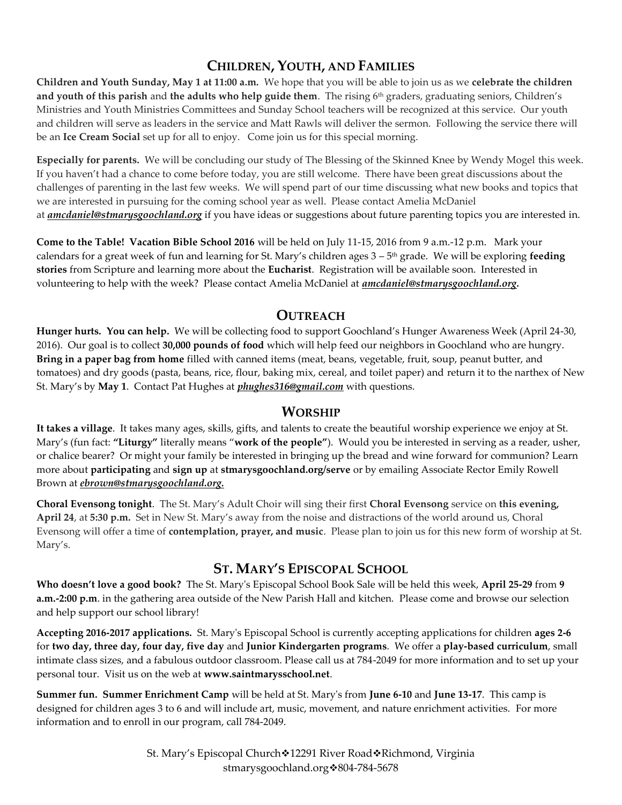## **CHILDREN, YOUTH, AND FAMILIES**

**Children and Youth Sunday, May 1 at 11:00 a.m.** We hope that you will be able to join us as we **celebrate the children**  and youth of this parish and the adults who help guide them. The rising 6<sup>th</sup> graders, graduating seniors, Children's Ministries and Youth Ministries Committees and Sunday School teachers will be recognized at this service. Our youth and children will serve as leaders in the service and Matt Rawls will deliver the sermon. Following the service there will be an **Ice Cream Social** set up for all to enjoy. Come join us for this special morning.

**Especially for parents.** We will be concluding our study of The Blessing of the Skinned Knee by Wendy Mogel this week. If you haven't had a chance to come before today, you are still welcome. There have been great discussions about the challenges of parenting in the last few weeks. We will spend part of our time discussing what new books and topics that we are interested in pursuing for the coming school year as well. Please contact Amelia McDaniel at *[amcdaniel@stmarysgoochland.org](mailto:amcdaniel@stmarysgoochland.org)* if you have ideas or suggestions about future parenting topics you are interested in.

**Come to the Table! Vacation Bible School 2016** will be held on July 11-15, 2016 from 9 a.m.-12 p.m. Mark your calendars for a great week of fun and learning for St. Mary's children ages 3 – 5 th grade. We will be exploring **feeding stories** from Scripture and learning more about the **Eucharist**. Registration will be available soon. Interested in volunteering to help with the week? Please contact Amelia McDaniel at *amcdaniel@stmarysgoochland.org.* 

#### **OUTREACH**

**Hunger hurts. You can help.** We will be collecting food to support Goochland's Hunger Awareness Week (April 24-30, 2016). Our goal is to collect **30,000 pounds of food** which will help feed our neighbors in Goochland who are hungry. **Bring in a paper bag from home** filled with canned items (meat, beans, vegetable, fruit, soup, peanut butter, and tomatoes) and dry goods (pasta, beans, rice, flour, baking mix, cereal, and toilet paper) and return it to the narthex of New St. Mary's by **May 1**. Contact Pat Hughes at *phughes316@gmail.com* with questions.

### **WORSHIP**

**It takes a village**. It takes many ages, skills, gifts, and talents to create the beautiful worship experience we enjoy at St. Mary's (fun fact: **"Liturgy"** literally means "**work of the people"**). Would you be interested in serving as a reader, usher, or chalice bearer? Or might your family be interested in bringing up the bread and wine forward for communion? Learn more about **participating** and **sign up** at **stmarysgoochland.org/serve** or by emailing Associate Rector Emily Rowell Brown at *ebrown@stmarysgoochland.org.*

**Choral Evensong tonight**. The St. Mary's Adult Choir will sing their first **Choral Evensong** service on **this evening, April 24**, at **5:30 p.m.** Set in New St. Mary's away from the noise and distractions of the world around us, Choral Evensong will offer a time of **contemplation, prayer, and music**. Please plan to join us for this new form of worship at St. Mary's.

### **ST. MARY'S EPISCOPAL SCHOOL**

**Who doesn't love a good book?** The St. Mary's Episcopal School Book Sale will be held this week, **April 25-29** from **9 a.m.-2:00 p.m**. in the gathering area outside of the New Parish Hall and kitchen. Please come and browse our selection and help support our school library!

**Accepting 2016-2017 applications.** St. Mary's Episcopal School is currently accepting applications for children **ages 2-6** for **two day, three day, four day, five day** and **Junior Kindergarten programs**. We offer a **play-based curriculum**, small intimate class sizes, and a fabulous outdoor classroom. Please call us at 784-2049 for more information and to set up your personal tour. Visit us on the web at **www.saintmarysschool.net**.

**Summer fun. Summer Enrichment Camp** will be held at St. Mary's from **June 6-10** and **June 13-17**. This camp is designed for children ages 3 to 6 and will include art, music, movement, and nature enrichment activities. For more information and to enroll in our program, call 784-2049.

> St. Mary's Episcopal Church◆12291 River Road◆Richmond, Virginia stmarysgoochland.org \*804-784-5678